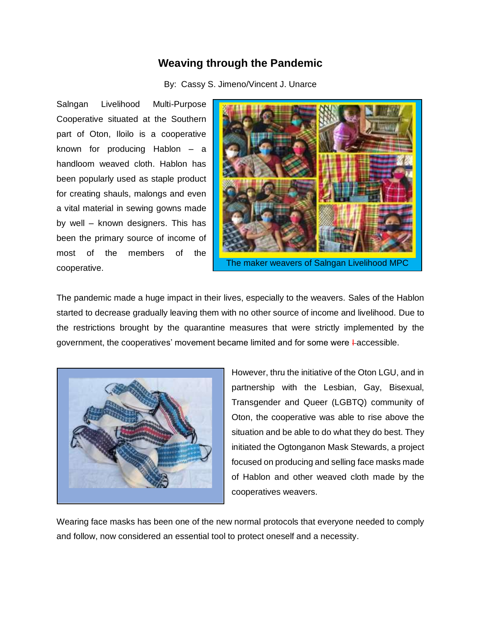## **Weaving through the Pandemic**

By: Cassy S. Jimeno/Vincent J. Unarce

Salngan Livelihood Multi-Purpose Cooperative situated at the Southern part of Oton, Iloilo is a cooperative known for producing Hablon – a handloom weaved cloth. Hablon has been popularly used as staple product for creating shauls, malongs and even a vital material in sewing gowns made by well – known designers. This has been the primary source of income of most of the members of the cooperative.



The pandemic made a huge impact in their lives, especially to the weavers. Sales of the Hablon started to decrease gradually leaving them with no other source of income and livelihood. Due to the restrictions brought by the quarantine measures that were strictly implemented by the government, the cooperatives' movement became limited and for some were  $\text{Laccessible}$ .



However, thru the initiative of the Oton LGU, and in partnership with the Lesbian, Gay, Bisexual, Transgender and Queer (LGBTQ) community of Oton, the cooperative was able to rise above the situation and be able to do what they do best. They initiated the Ogtonganon Mask Stewards, a project focused on producing and selling face masks made of Hablon and other weaved cloth made by the cooperatives weavers.

Wearing face masks has been one of the new normal protocols that everyone needed to comply and follow, now considered an essential tool to protect oneself and a necessity.